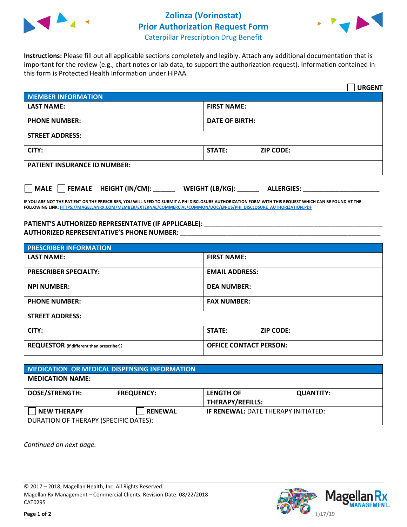

## **Zolinza (Vorinostat) Prior Authorization Request Form**



Caterpillar Prescription Drug Benefit

**Instructions:** Please fill out all applicable sections completely and legibly. Attach any additional documentation that is important for the review (e.g., chart notes or lab data, to support the authorization request). Information contained in this form is Protected Health Information under HIPAA.

|                                                                             | <b>URGENT</b>                     |  |  |  |
|-----------------------------------------------------------------------------|-----------------------------------|--|--|--|
| <b>MEMBER INFORMATION</b>                                                   |                                   |  |  |  |
| <b>LAST NAME:</b>                                                           | <b>FIRST NAME:</b>                |  |  |  |
| <b>PHONE NUMBER:</b>                                                        | <b>DATE OF BIRTH:</b>             |  |  |  |
| <b>STREET ADDRESS:</b>                                                      |                                   |  |  |  |
| CITY:                                                                       | <b>STATE:</b><br><b>ZIP CODE:</b> |  |  |  |
| <b>PATIENT INSURANCE ID NUMBER:</b>                                         |                                   |  |  |  |
| MALE<br>FEMALE HEIGHT (IN/CM): __<br>WEIGHT (LB/KG): _<br><b>ALLERGIES:</b> |                                   |  |  |  |

**IF YOU ARE NOT THE PATIENT OR THE PRESCRIBER, YOU WILL NEED TO SUBMIT A PHI DISCLOSURE AUTHORIZATION FORM WITH THIS REQUEST WHICH CAN BE FOUND AT THE FOLLOWING LINK: HTTPS://MAGELLANRX.COM/MEMBER/EXTERNAL/COMMERCIAL/COMMON/DOC/EN-US/PHI\_DISCLOSURE\_AUTHORIZATION.PDF**

## PATIENT'S AUTHORIZED REPRESENTATIVE (IF APPLICABLE): \_\_\_\_\_\_\_\_\_\_\_\_\_\_\_\_\_\_\_\_\_\_\_\_\_\_\_ **AUTHORIZED REPRESENTATIVE'S PHONE NUMBER:** \_\_\_\_\_\_\_\_\_\_\_\_\_\_\_\_\_\_\_\_\_\_\_\_\_\_\_\_\_\_\_\_\_\_\_\_\_\_\_\_\_\_\_\_\_\_\_\_\_\_\_\_\_\_\_

| <b>PRESCRIBER INFORMATION</b>                    |                               |  |
|--------------------------------------------------|-------------------------------|--|
| <b>LAST NAME:</b>                                | <b>FIRST NAME:</b>            |  |
| <b>PRESCRIBER SPECIALTY:</b>                     | <b>EMAIL ADDRESS:</b>         |  |
| <b>NPI NUMBER:</b>                               | <b>DEA NUMBER:</b>            |  |
| <b>PHONE NUMBER:</b>                             | <b>FAX NUMBER:</b>            |  |
| <b>STREET ADDRESS:</b>                           |                               |  |
| CITY:                                            | STATE:<br><b>ZIP CODE:</b>    |  |
| <b>REQUESTOR</b> (if different than prescriber): | <b>OFFICE CONTACT PERSON:</b> |  |

| MEDICATION OR MEDICAL DISPENSING INFORMATION |                   |                                            |                  |  |  |
|----------------------------------------------|-------------------|--------------------------------------------|------------------|--|--|
| <b>MEDICATION NAME:</b>                      |                   |                                            |                  |  |  |
| <b>DOSE/STRENGTH:</b>                        | <b>FREQUENCY:</b> | <b>LENGTH OF</b><br>THERAPY/REFILLS:       | <b>QUANTITY:</b> |  |  |
| <b>NEW THERAPY</b>                           | <b>RENEWAL</b>    | <b>IF RENEWAL: DATE THERAPY INITIATED:</b> |                  |  |  |
| DURATION OF THERAPY (SPECIFIC DATES):        |                   |                                            |                  |  |  |

*Continued on next page.* 

© 2017 – 2018, Magellan Health, Inc. All Rights Reserved. Magellan Rx Management – Commercial Clients. Revision Date: 08/22/2018 CAT0295